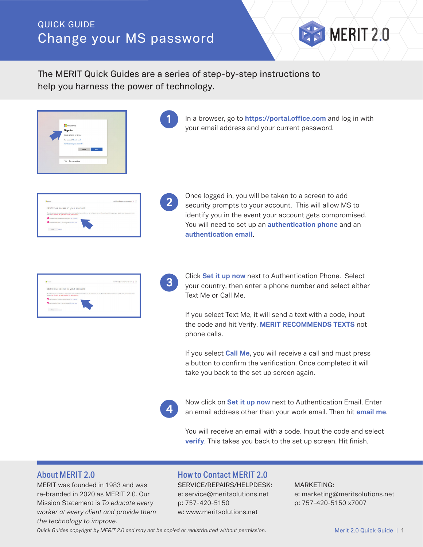# QUICK GUIDE Change your MS password

The MERIT Quick Guides are a series of step-by-step instructions to help you harness the power of technology.

| Microsoft                  |  |
|----------------------------|--|
| Sign in                    |  |
| Email, phone, or Skype     |  |
| No account? Create one!    |  |
| Can't access your account? |  |
| Back<br>Next               |  |
|                            |  |
| Sign-in options            |  |
|                            |  |

In a browser, go to **https://portal.office.com** and log in with your email address and your current password.

MERIT 2.0

| don't lose access to your account!                             |                                                                                                                                                                     |  |
|----------------------------------------------------------------|---------------------------------------------------------------------------------------------------------------------------------------------------------------------|--|
| secure. You'll need to set up at least 2 of the aptions below. | To make sure you can reset your password, we need to collect some info so we can verify who you are. We won't use this to spam you - just to keep your account more |  |
| Authentication Phone is not configured. Set it up now          |                                                                                                                                                                     |  |
| Authentication Ernal is not configured. Set it up now          |                                                                                                                                                                     |  |
| finish cover                                                   |                                                                                                                                                                     |  |

**2**

**3**

**1**

Once logged in, you will be taken to a screen to add security prompts to your account. This will allow MS to identify you in the event your account gets compromised. You will need to set up an **authentication phone** and an **authentication email**.

| <b>B</b> Monach                                                                                                                                                                                                                      | meridiums@iawspectrospecies.com   ? |  |
|--------------------------------------------------------------------------------------------------------------------------------------------------------------------------------------------------------------------------------------|-------------------------------------|--|
| don't lose access to your account!                                                                                                                                                                                                   |                                     |  |
| To make sure you can reset your password, we need to collect some info so we can verify who you are. We won't use this to spam you - just to keep your account more<br>serum. You'll need to get up at least 2 of the nations below. |                                     |  |
| Authentication Phone is not configured. Set it up now                                                                                                                                                                                |                                     |  |
| Authentication Email is not cardigured. Set it up now                                                                                                                                                                                |                                     |  |

Click **Set it up now** next to Authentication Phone. Select your country, then enter a phone number and select either Text Me or Call Me.

If you select Text Me, it will send a text with a code, input the code and hit Verify. **MERIT RECOMMENDS TEXTS** not phone calls.

If you select **Call Me**, you will receive a call and must press a button to confirm the verification. Once completed it will take you back to the set up screen again.

**4**

Now click on **Set it up now** next to Authentication Email. Enter an email address other than your work email. Then hit **email me**.

You will receive an email with a code. Input the code and select **verify**. This takes you back to the set up screen. Hit finish.

MERIT was founded in 1983 and was re-branded in 2020 as MERIT 2.0. Our Mission Statement is *To educate every worker at every client and provide them the technology to improve.*

## About MERIT 2.0 How to Contact MERIT 2.0

SERVICE/REPAIRS/HELPDESK: e: service@meritsolutions.net p: 757-420-5150 w: www.meritsolutions.net

### MARKETING:

e: marketing@meritsolutions.net p: 757-420-5150 x7007

*Quick Guides copyright by MERIT 2.0 and may not be copied or redistributed without permission.* Merit 2.0 Quick Guide | 1